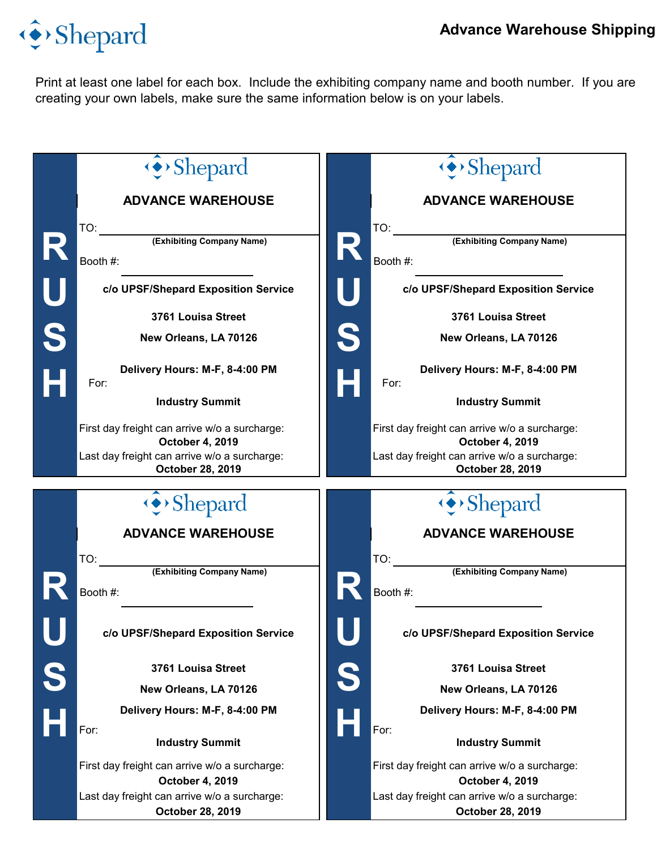## Shepard

Print at least one label for each box. Include the exhibiting company name and booth number. If you are creating your own labels, make sure the same information below is on your labels.